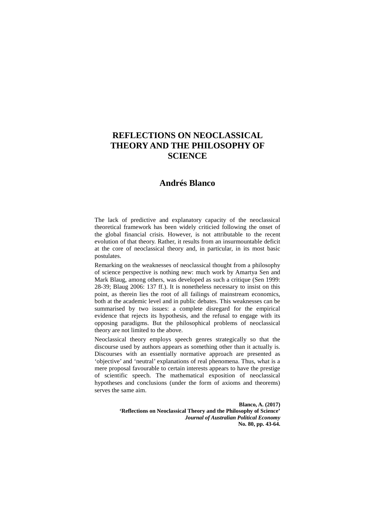# **REFLECTIONS ON NEOCLASSICAL THEORY AND THE PHILOSOPHY OF SCIENCE**

## **Andrés Blanco**

The lack of predictive and explanatory capacity of the neoclassical theoretical framework has been widely criticied following the onset of the global financial crisis. However, is not attributable to the recent evolution of that theory. Rather, it results from an insurmountable deficit at the core of neoclassical theory and, in particular, in its most basic postulates.

Remarking on the weaknesses of neoclassical thought from a philosophy of science perspective is nothing new: much work by Amartya Sen and Mark Blaug, among others, was developed as such a critique (Sen 1999: 28-39; Blaug 2006: 137 ff.). It is nonetheless necessary to insist on this point, as therein lies the root of all failings of mainstream economics, both at the academic level and in public debates. This weaknesses can be summarised by two issues: a complete disregard for the empirical evidence that rejects its hypothesis, and the refusal to engage with its opposing paradigms. But the philosophical problems of neoclassical theory are not limited to the above.

Neoclassical theory employs speech genres strategically so that the discourse used by authors appears as something other than it actually is. Discourses with an essentially normative approach are presented as 'objective' and 'neutral' explanations of real phenomena. Thus, what is a mere proposal favourable to certain interests appears to have the prestige of scientific speech. The mathematical exposition of neoclassical hypotheses and conclusions (under the form of axioms and theorems) serves the same aim.

> **Blanco, A. (2017) 'Reflections on Neoclassical Theory and the Philosophy of Science'**  *Journal of Australian Political Economy* **No. 80, pp. 43-64.**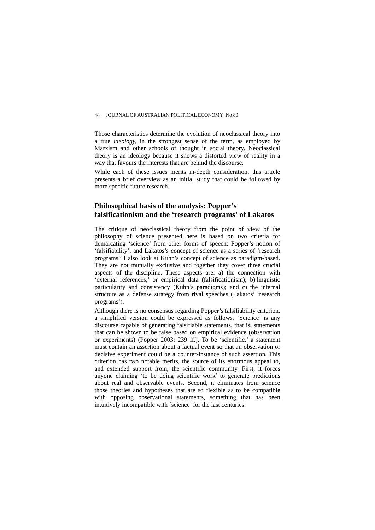Those characteristics determine the evolution of neoclassical theory into a true *ideology,* in the strongest sense of the term, as employed by Marxism and other schools of thought in social theory. Neoclassical theory is an ideology because it shows a distorted view of reality in a way that favours the interests that are behind the discourse.

While each of these issues merits in-depth consideration, this article presents a brief overview as an initial study that could be followed by more specific future research.

## **Philosophical basis of the analysis: Popper's falsificationism and the 'research programs' of Lakatos**

The critique of neoclassical theory from the point of view of the philosophy of science presented here is based on two criteria for demarcating 'science' from other forms of speech: Popper's notion of 'falsifiability', and Lakatos's concept of science as a series of 'research programs.' I also look at Kuhn's concept of science as paradigm-based. They are not mutually exclusive and together they cover three crucial aspects of the discipline. These aspects are: a) the connection with 'external references,' or empirical data (falsificationism); b) linguistic particularity and consistency (Kuhn's paradigms); and c) the internal structure as a defense strategy from rival speeches (Lakatos' 'research programs').

Although there is no consensus regarding Popper's falsifiability criterion, a simplified version could be expressed as follows. 'Science' is any discourse capable of generating falsifiable statements, that is, statements that can be shown to be false based on empirical evidence (observation or experiments) (Popper 2003: 239 ff.). To be 'scientific,' a statement must contain an assertion about a factual event so that an observation or decisive experiment could be a counter-instance of such assertion. This criterion has two notable merits, the source of its enormous appeal to, and extended support from, the scientific community. First, it forces anyone claiming 'to be doing scientific work' to generate predictions about real and observable events. Second, it eliminates from science those theories and hypotheses that are so flexible as to be compatible with opposing observational statements, something that has been intuitively incompatible with 'science' for the last centuries.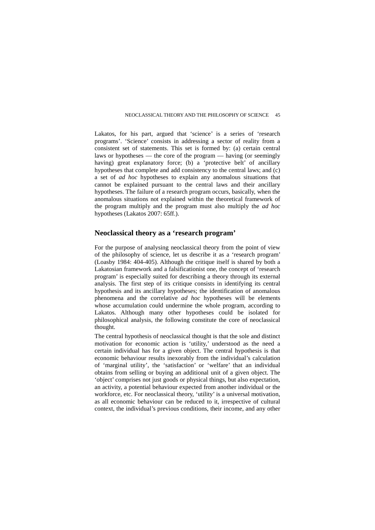Lakatos, for his part, argued that 'science' is a series of 'research programs'. 'Science' consists in addressing a sector of reality from a consistent set of statements. This set is formed by: (a) certain central laws or hypotheses — the core of the program — having (or seemingly having) great explanatory force; (b) a 'protective belt' of ancillary hypotheses that complete and add consistency to the central laws; and (c) a set of *ad hoc* hypotheses to explain any anomalous situations that cannot be explained pursuant to the central laws and their ancillary hypotheses. The failure of a research program occurs, basically, when the anomalous situations not explained within the theoretical framework of the program multiply and the program must also multiply the *ad hoc*  hypotheses (Lakatos 2007: 65ff.).

## **Neoclassical theory as a 'research program'**

For the purpose of analysing neoclassical theory from the point of view of the philosophy of science, let us describe it as a 'research program' (Loasby 1984: 404-405). Although the critique itself is shared by both a Lakatosian framework and a falsificationist one, the concept of 'research program' is especially suited for describing a theory through its external analysis. The first step of its critique consists in identifying its central hypothesis and its ancillary hypotheses; the identification of anomalous phenomena and the correlative *ad hoc* hypotheses will be elements whose accumulation could undermine the whole program, according to Lakatos. Although many other hypotheses could be isolated for philosophical analysis, the following constitute the core of neoclassical thought.

The central hypothesis of neoclassical thought is that the sole and distinct motivation for economic action is 'utility,' understood as the need a certain individual has for a given object. The central hypothesis is that economic behaviour results inexorably from the individual's calculation of 'marginal utility', the 'satisfaction' or 'welfare' that an individual obtains from selling or buying an additional unit of a given object. The 'object' comprises not just goods or physical things, but also expectation, an activity, a potential behaviour expected from another individual or the workforce, etc. For neoclassical theory, 'utility' is a universal motivation, as all economic behaviour can be reduced to it, irrespective of cultural context, the individual's previous conditions, their income, and any other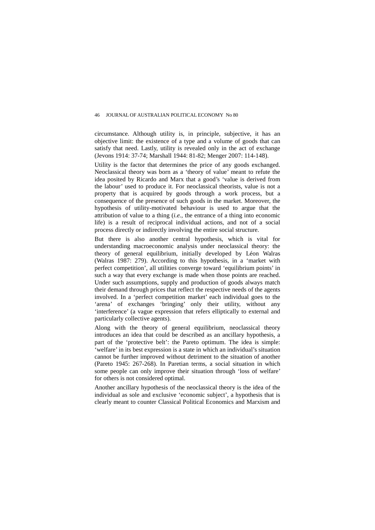circumstance. Although utility is, in principle, subjective, it has an objective limit: the existence of a type and a volume of goods that can satisfy that need. Lastly, utility is revealed only in the act of exchange (Jevons 1914: 37-74; Marshall 1944: 81-82; Menger 2007: 114-148).

Utility is the factor that determines the price of any goods exchanged. Neoclassical theory was born as a 'theory of value' meant to refute the idea posited by Ricardo and Marx that a good's 'value is derived from the labour' used to produce it. For neoclassical theorists, value is not a property that is acquired by goods through a work process, but a consequence of the presence of such goods in the market. Moreover, the hypothesis of utility-motivated behaviour is used to argue that the attribution of value to a thing (*i.e.*, the entrance of a thing into economic life) is a result of reciprocal individual actions, and not of a social process directly or indirectly involving the entire social structure.

But there is also another central hypothesis, which is vital for understanding macroeconomic analysis under neoclassical theory: the theory of general equilibrium, initially developed by Léon Walras (Walras 1987: 279). According to this hypothesis, in a 'market with perfect competition', all utilities converge toward 'equilibrium points' in such a way that every exchange is made when those points are reached. Under such assumptions, supply and production of goods always match their demand through prices that reflect the respective needs of the agents involved. In a 'perfect competition market' each individual goes to the 'arena' of exchanges 'bringing' only their utility, without any 'interference' (a vague expression that refers elliptically to external and particularly collective agents).

Along with the theory of general equilibrium, neoclassical theory introduces an idea that could be described as an ancillary hypothesis, a part of the 'protective belt': the Pareto optimum. The idea is simple: 'welfare' in its best expression is a state in which an individual's situation cannot be further improved without detriment to the situation of another (Pareto 1945: 267-268). In Paretian terms, a social situation in which some people can only improve their situation through 'loss of welfare' for others is not considered optimal.

Another ancillary hypothesis of the neoclassical theory is the idea of the individual as sole and exclusive 'economic subject', a hypothesis that is clearly meant to counter Classical Political Economics and Marxism and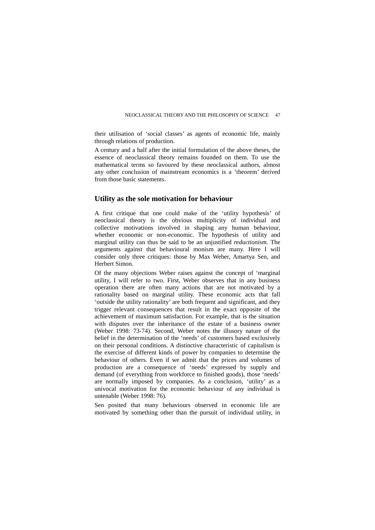their utilisation of 'social classes' as agents of economic life, mainly through relations of production.

A century and a half after the initial formulation of the above theses, the essence of neoclassical theory remains founded on them. To use the mathematical terms so favoured by these neoclassical authors, almost any other conclusion of mainstream economics is a 'theorem' derived from those basic statements.

## **Utility as the sole motivation for behaviour**

A first critique that one could make of the 'utility hypothesis' of neoclassical theory is the obvious multiplicity of individual and collective motivations involved in shaping any human behaviour, whether economic or non-economic. The hypothesis of utility and marginal utility can thus be said to be an unjustified *reductionism.* The arguments against that behavioural monism are many. Here I will consider only three critiques: those by Max Weber, Amartya Sen, and Herbert Simon.

Of the many objections Weber raises against the concept of 'marginal utility, I will refer to two. First, Weber observes that in any business operation there are often many actions that are not motivated by a rationality based on marginal utility. These economic acts that fall 'outside the utility rationality' are both frequent and significant, and they trigger relevant consequences that result in the exact opposite of the achievement of maximum satisfaction. For example, that is the situation with disputes over the inheritance of the estate of a business owner (Weber 1998: 73-74). Second, Weber notes the illusory nature of the belief in the determination of the 'needs' of customers based exclusively on their personal conditions. A distinctive characteristic of capitalism is the exercise of different kinds of power by companies to determine the behaviour of others. Even if we admit that the prices and volumes of production are a consequence of 'needs' expressed by supply and demand (of everything from workforce to finished goods), those 'needs' are normally imposed by companies. As a conclusion, 'utility' as a univocal motivation for the economic behaviour of any individual is untenable (Weber 1998: 76).

Sen posited that many behaviours observed in economic life are motivated by something other than the pursuit of individual utility, in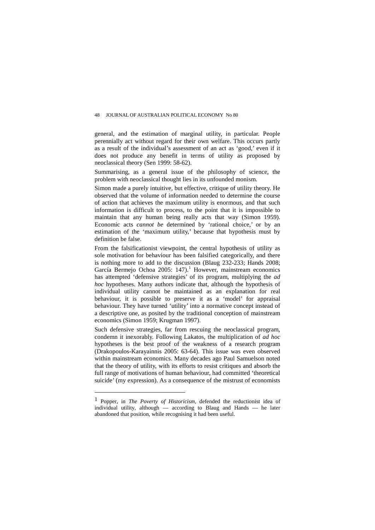general, and the estimation of marginal utility, in particular. People perennially act without regard for their own welfare. This occurs partly as a result of the individual's assessment of an act as 'good,' even if it does not produce any benefit in terms of utility as proposed by neoclassical theory (Sen 1999: 58-62).

Summarising, as a general issue of the philosophy of science, the problem with neoclassical thought lies in its unfounded monism.

Simon made a purely intuitive, but effective, critique of utility theory. He observed that the volume of information needed to determine the course of action that achieves the maximum utility is enormous, and that such information is difficult to process, to the point that it is impossible to maintain that any human being really acts that way (Simon 1959). Economic acts *cannot be* determined by 'rational choice,' or by an estimation of the 'maximum utility,' because that hypothesis must by definition be false.

From the falsificationist viewpoint, the central hypothesis of utility as sole motivation for behaviour has been falsified categorically, and there is nothing more to add to the discussion (Blaug 232-233; Hands 2008; García Bermejo Ochoa 2005: [1](#page-5-0)47).<sup>1</sup> However, mainstream economics has attempted 'defensive strategies' of its program, multiplying the *ad hoc* hypotheses. Many authors indicate that, although the hypothesis of individual utility cannot be maintained as an explanation for real behaviour, it is possible to preserve it as a 'model' for appraisal behaviour. They have turned 'utility' into a normative concept instead of a descriptive one, as posited by the traditional conception of mainstream economics (Simon 1959; Krugman 1997).

Such defensive strategies, far from rescuing the neoclassical program, condemn it inexorably. Following Lakatos, the multiplication of *ad hoc*  hypotheses is the best proof of the weakness of a research program (Drakopoulos-Karayainnis 2005: 63-64). This issue was even observed within mainstream economics. Many decades ago Paul Samuelson noted that the theory of utility, with its efforts to resist critiques and absorb the full range of motivations of human behaviour, had committed 'theoretical suicide' (my expression). As a consequence of the mistrust of economists

 $\overline{a}$ 

<span id="page-5-0"></span><sup>1</sup> Popper, in *The Poverty of Historicism*, defended the reductionist idea of individual utility, although — according to Blaug and Hands — he later abandoned that position, while recognising it had been useful.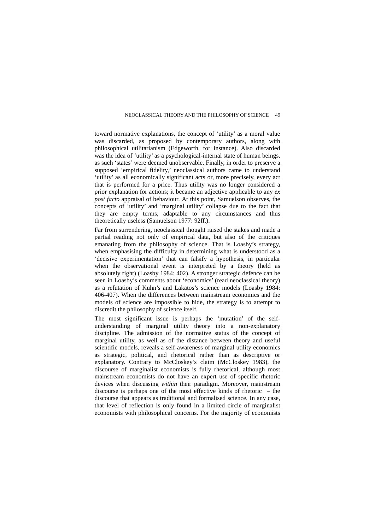toward normative explanations, the concept of 'utility' as a moral value was discarded, as proposed by contemporary authors, along with philosophical utilitarianism (Edgeworth, for instance). Also discarded was the idea of 'utility' as a psychological-internal state of human beings, as such 'states' were deemed unobservable. Finally, in order to preserve a supposed 'empirical fidelity,' neoclassical authors came to understand 'utility' as all economically significant acts or, more precisely, every act that is performed for a price. Thus utility was no longer considered a prior explanation for actions; it became an adjective applicable to any *ex post facto* appraisal of behaviour*.* At this point, Samuelson observes, the concepts of 'utility' and 'marginal utility' collapse due to the fact that they are empty terms, adaptable to any circumstances and thus theoretically useless (Samuelson 1977: 92ff.).

Far from surrendering, neoclassical thought raised the stakes and made a partial reading not only of empirical data, but also of the critiques emanating from the philosophy of science. That is Loasby's strategy, when emphasising the difficulty in determining what is understood as a 'decisive experimentation' that can falsify a hypothesis, in particular when the observational event is interpreted by a theory (held as absolutely right) (Loasby 1984: 402). A stronger strategic defence can be seen in Loasby's comments about 'economics' (read neoclassical theory) as a refutation of Kuhn's and Lakatos's science models (Loasby 1984: 406-407). When the differences between mainstream economics and the models of science are impossible to hide, the strategy is to attempt to discredit the philosophy of science itself.

The most significant issue is perhaps the 'mutation' of the selfunderstanding of marginal utility theory into a non-explanatory discipline. The admission of the normative status of the concept of marginal utility, as well as of the distance between theory and useful scientific models, reveals a self-awareness of marginal utility economics as strategic, political, and rhetorical rather than as descriptive or explanatory. Contrary to McCloskey's claim (McCloskey 1983), the discourse of marginalist economists is fully rhetorical, although most mainstream economists do not have an expert use of specific rhetoric devices when discussing *within* their paradigm. Moreover, mainstream discourse is perhaps one of the most effective kinds of rhetoric – the discourse that appears as traditional and formalised science. In any case, that level of reflection is only found in a limited circle of marginalist economists with philosophical concerns. For the majority of economists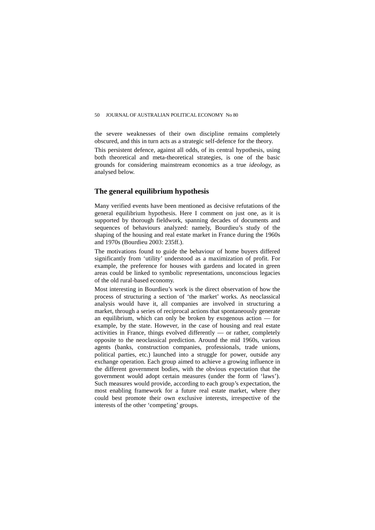the severe weaknesses of their own discipline remains completely obscured, and this in turn acts as a strategic self-defence for the theory.

This persistent defence, against all odds, of its central hypothesis, using both theoretical and meta-theoretical strategies, is one of the basic grounds for considering mainstream economics as a true *ideology,* as analysed below.

## **The general equilibrium hypothesis**

Many verified events have been mentioned as decisive refutations of the general equilibrium hypothesis. Here I comment on just one, as it is supported by thorough fieldwork, spanning decades of documents and sequences of behaviours analyzed: namely, Bourdieu's study of the shaping of the housing and real estate market in France during the 1960s and 1970s (Bourdieu 2003: 235ff.).

The motivations found to guide the behaviour of home buyers differed significantly from 'utility' understood as a maximization of profit. For example, the preference for houses with gardens and located in green areas could be linked to symbolic representations, unconscious legacies of the old rural-based economy.

Most interesting in Bourdieu's work is the direct observation of how the process of structuring a section of 'the market' works. As neoclassical analysis would have it, all companies are involved in structuring a market, through a series of reciprocal actions that spontaneously generate an equilibrium, which can only be broken by exogenous action — for example, by the state. However, in the case of housing and real estate activities in France, things evolved differently — or rather, completely opposite to the neoclassical prediction. Around the mid 1960s, various agents (banks, construction companies, professionals, trade unions, political parties, etc.) launched into a struggle for power, outside any exchange operation. Each group aimed to achieve a growing influence in the different government bodies, with the obvious expectation that the government would adopt certain measures (under the form of 'laws'). Such measures would provide, according to each group's expectation, the most enabling framework for a future real estate market, where they could best promote their own exclusive interests, irrespective of the interests of the other 'competing' groups.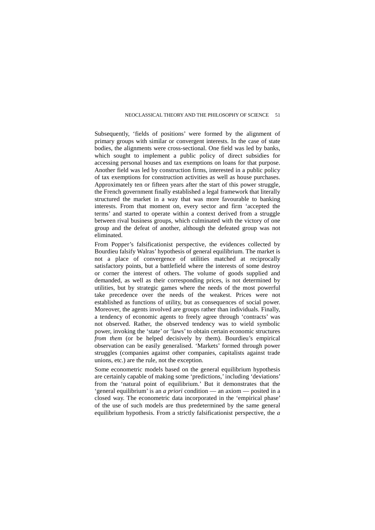Subsequently, 'fields of positions' were formed by the alignment of primary groups with similar or convergent interests. In the case of state bodies, the alignments were cross-sectional. One field was led by banks, which sought to implement a public policy of direct subsidies for accessing personal houses and tax exemptions on loans for that purpose. Another field was led by construction firms, interested in a public policy of tax exemptions for construction activities as well as house purchases. Approximately ten or fifteen years after the start of this power struggle, the French government finally established a legal framework that literally structured the market in a way that was more favourable to banking interests. From that moment on, every sector and firm 'accepted the terms' and started to operate within a context derived from a struggle between rival business groups, which culminated with the victory of one group and the defeat of another, although the defeated group was not eliminated.

From Popper's falsificationist perspective, the evidences collected by Bourdieu falsify Walras' hypothesis of general equilibrium. The market is not a place of convergence of utilities matched at reciprocally satisfactory points, but a battlefield where the interests of some destroy or corner the interest of others. The volume of goods supplied and demanded, as well as their corresponding prices, is not determined by utilities, but by strategic games where the needs of the most powerful take precedence over the needs of the weakest. Prices were not established as functions of utility, but as consequences of social power. Moreover, the agents involved are groups rather than individuals. Finally, a tendency of economic agents to freely agree through 'contracts' was not observed. Rather, the observed tendency was to wield symbolic power, invoking the 'state' or 'laws' to obtain certain economic structures *from them* (or be helped decisively by them). Bourdieu's empirical observation can be easily generalised. 'Markets' formed through power struggles (companies against other companies, capitalists against trade unions, etc.) are the rule, not the exception.

Some econometric models based on the general equilibrium hypothesis are certainly capable of making some 'predictions,' including 'deviations' from the 'natural point of equilibrium.' But it demonstrates that the 'general equilibrium' is an *a priori* condition — an axiom — posited in a closed way. The econometric data incorporated in the 'empirical phase' of the use of such models are thus predetermined by the same general equilibrium hypothesis. From a strictly falsificationist perspective, the *a*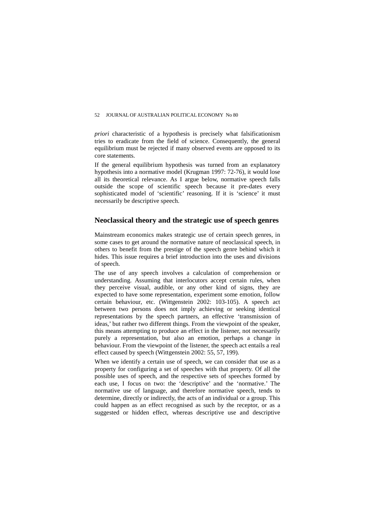*priori* characteristic of a hypothesis is precisely what falsificationism tries to eradicate from the field of science. Consequently, the general equilibrium must be rejected if many observed events are opposed to its core statements.

If the general equilibrium hypothesis was turned from an explanatory hypothesis into a normative model (Krugman 1997: 72-76), it would lose all its theoretical relevance. As I argue below, normative speech falls outside the scope of scientific speech because it pre-dates every sophisticated model of 'scientific' reasoning. If it is 'science' it must necessarily be descriptive speech.

### **Neoclassical theory and the strategic use of speech genres**

Mainstream economics makes strategic use of certain speech genres, in some cases to get around the normative nature of neoclassical speech, in others to benefit from the prestige of the speech genre behind which it hides. This issue requires a brief introduction into the uses and divisions of speech.

The use of any speech involves a calculation of comprehension or understanding. Assuming that interlocutors accept certain rules, when they perceive visual, audible, or any other kind of signs, they are expected to have some representation, experiment some emotion, follow certain behaviour, etc. (Wittgenstein 2002: 103-105). A speech act between two persons does not imply achieving or seeking identical representations by the speech partners, an effective 'transmission of ideas,' but rather two different things. From the viewpoint of the speaker, this means attempting to produce an effect in the listener, not necessarily purely a representation, but also an emotion, perhaps a change in behaviour. From the viewpoint of the listener, the speech act entails a real effect caused by speech (Wittgenstein 2002: 55, 57, 199).

When we identify a certain use of speech, we can consider that use as a property for configuring a set of speeches with that property. Of all the possible uses of speech, and the respective sets of speeches formed by each use, I focus on two: the 'descriptive' and the 'normative.' The normative use of language, and therefore normative speech, tends to determine, directly or indirectly, the acts of an individual or a group. This could happen as an effect recognised as such by the receptor, or as a suggested or hidden effect, whereas descriptive use and descriptive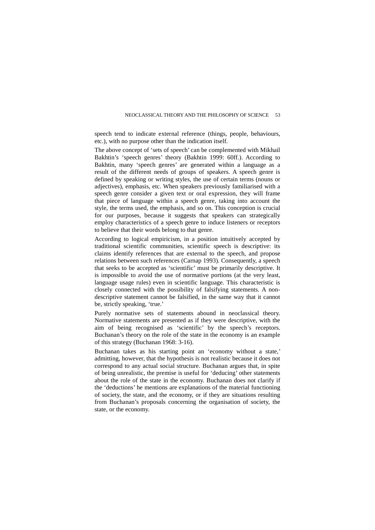speech tend to indicate external reference (things, people, behaviours, etc.), with no purpose other than the indication itself.

The above concept of 'sets of speech' can be complemented with Mikhail Bakhtin's 'speech genres' theory (Bakhtin 1999: 60ff.). According to Bakhtin, many 'speech genres' are generated within a language as a result of the different needs of groups of speakers. A speech genre is defined by speaking or writing styles, the use of certain terms (nouns or adjectives), emphasis, etc. When speakers previously familiarised with a speech genre consider a given text or oral expression, they will frame that piece of language within a speech genre, taking into account the style, the terms used, the emphasis, and so on. This conception is crucial for our purposes, because it suggests that speakers can strategically employ characteristics of a speech genre to induce listeners or receptors to believe that their words belong to that genre.

According to logical empiricism, in a position intuitively accepted by traditional scientific communities, scientific speech is descriptive: its claims identify references that are external to the speech, and propose relations between such references (Carnap 1993). Consequently, a speech that seeks to be accepted as 'scientific' must be primarily descriptive. It is impossible to avoid the use of normative portions (at the very least, language usage rules) even in scientific language. This characteristic is closely connected with the possibility of falsifying statements. A nondescriptive statement cannot be falsified, in the same way that it cannot be, strictly speaking, 'true.'

Purely normative sets of statements abound in neoclassical theory. Normative statements are presented as if they were descriptive*,* with the aim of being recognised as 'scientific' by the speech's receptors. Buchanan's theory on the role of the state in the economy is an example of this strategy (Buchanan 1968: 3-16).

Buchanan takes as his starting point an 'economy without a state,' admitting, however, that the hypothesis is not realistic because it does not correspond to any actual social structure. Buchanan argues that, in spite of being unrealistic, the premise is useful for 'deducing' other statements about the role of the state in the economy. Buchanan does not clarify if the 'deductions' he mentions are explanations of the material functioning of society, the state, and the economy, or if they are situations resulting from Buchanan's proposals concerning the organisation of society, the state, or the economy.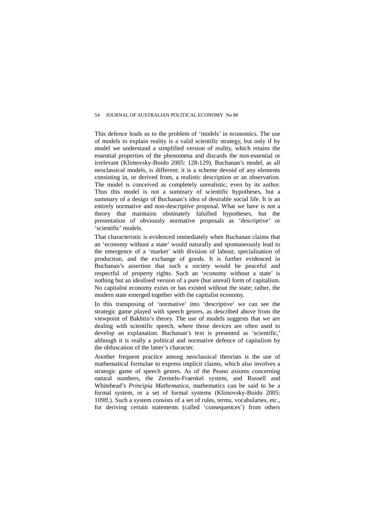This defence leads us to the problem of 'models' in economics. The use of models to explain reality is a valid scientific strategy, but only if by model we understand a simplified version of reality, which retains the essential properties of the phenomena and discards the non-essential or irrelevant (Klimovsky-Boido 2005: 128-129). Buchanan's model, as all neoclassical models, is different: it is a scheme devoid of any elements consisting in, or derived from, a realistic description or an observation. The model is conceived as completely unrealistic, even by its author. Thus this model is not a summary of scientific hypotheses, but a summary of a design of Buchanan's idea of desirable social life. It is an entirely normative and non-descriptive proposal. What we have is not a theory that maintains obstinately falsified hypotheses, but the presentation of obviously normative proposals as 'descriptive' or 'scientific' models.

That characteristic is evidenced immediately when Buchanan claims that an 'economy without a state' would naturally and spontaneously lead to the emergence of a 'market' with division of labour, specialisation of production, and the exchange of goods. It is further evidenced in Buchanan's assertion that such a society would be peaceful and respectful of property rights. Such an 'economy without a state' is nothing but an idealised version of a pure (but unreal) form of capitalism. No capitalist economy exists or has existed without the state; rather, the modern state emerged together with the capitalist economy.

In this transposing of 'normative' into 'descriptive' we can see the strategic game played with speech genres, as described above from the viewpoint of Bakhtin's theory. The use of models suggests that we are dealing with scientific speech, where those devices are often used to develop an explanation. Buchanan's text is presented as 'scientific,' although it is really a political and normative defence of capitalism by the obfuscation of the latter's character.

Another frequent practice among neoclassical theorists is the use of mathematical formulae to express implicit claims, which also involves a strategic game of speech genres. As of the Peano axioms concerning natural numbers, the Zermelo-Fraenkel system, and Russell and Whitehead's *Principia Mathematica,* mathematics can be said to be a formal system, or a set of formal systems (Klimovsky-Boido 2005: 109ff.). Such a system consists of a set of rules, terms, vocabularies, etc., for deriving certain statements (called 'consequences') from others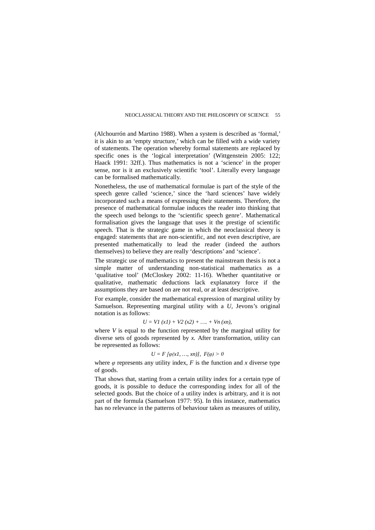(Alchourrón and Martino 1988). When a system is described as 'formal,' it is akin to an 'empty structure,' which can be filled with a wide variety of statements. The operation whereby formal statements are replaced by specific ones is the 'logical interpretation' (Wittgenstein 2005: 122; Haack 1991: 32ff.). Thus mathematics is not a 'science' in the proper sense, nor is it an exclusively scientific 'tool'. Literally every language can be formalised mathematically.

Nonetheless, the use of mathematical formulae is part of the style of the speech genre called 'science,' since the 'hard sciences' have widely incorporated such a means of expressing their statements. Therefore, the presence of mathematical formulae induces the reader into thinking that the speech used belongs to the 'scientific speech genre'. Mathematical formalisation gives the language that uses it the prestige of scientific speech. That is the strategic game in which the neoclassical theory is engaged: statements that are non-scientific, and not even descriptive, are presented mathematically to lead the reader (indeed the authors themselves) to believe they are really 'descriptions' and 'science'.

The strategic use of mathematics to present the mainstream thesis is not a simple matter of understanding non-statistical mathematics as a 'qualitative tool' (McCloskey 2002: 11-16). Whether quantitative or qualitative, mathematic deductions lack explanatory force if the assumptions they are based on are not real, or at least descriptive.

For example, consider the mathematical expression of marginal utility by Samuelson. Representing marginal utility with a *U,* Jevons's original notation is as follows:

 $U = VI (x1) + V2 (x2) + \ldots + Vn (xn),$ 

where *V* is equal to the function represented by the marginal utility for diverse sets of goods represented by *x.* After transformation, utility can be represented as follows:

$$
U = F[\varphi(x1, ..., xn)], F(\varphi) > 0
$$

where  $\varphi$  represents any utility index,  $F$  is the function and  $x$  diverse type of goods.

That shows that, starting from a certain utility index for a certain type of goods, it is possible to deduce the corresponding index for all of the selected goods. But the choice of a utility index is arbitrary, and it is not part of the formula (Samuelson 1977: 95). In this instance, mathematics has no relevance in the patterns of behaviour taken as measures of utility,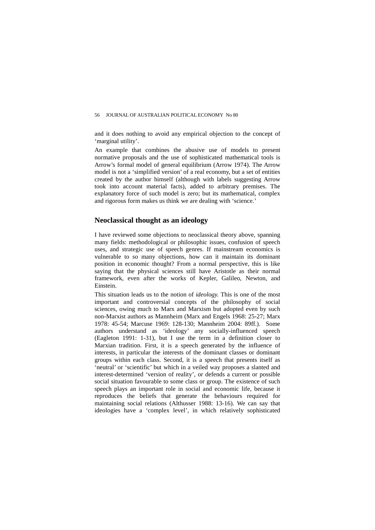and it does nothing to avoid any empirical objection to the concept of 'marginal utility'.

An example that combines the abusive use of models to present normative proposals and the use of sophisticated mathematical tools is Arrow's formal model of general equilibrium (Arrow 1974). The Arrow model is not a 'simplified version' of a real economy, but a set of entities created by the author himself (although with labels suggesting Arrow took into account material facts), added to arbitrary premises. The explanatory force of such model is zero; but its mathematical, complex and rigorous form makes us think we are dealing with 'science.'

### **Neoclassical thought as an ideology**

I have reviewed some objections to neoclassical theory above, spanning many fields: methodological or philosophic issues, confusion of speech uses, and strategic use of speech genres. If mainstream economics is vulnerable to so many objections, how can it maintain its dominant position in economic thought? From a normal perspective, this is like saying that the physical sciences still have Aristotle as their normal framework, even after the works of Kepler, Galileo, Newton, and Einstein.

This situation leads us to the notion of *ideology.* This is one of the most important and controversial concepts of the philosophy of social sciences, owing much to Marx and Marxism but adopted even by such non-Marxist authors as Mannheim (Marx and Engels 1968: 25-27; Marx 1978: 45-54; Marcuse 1969: 128-130; Mannheim 2004: 89ff.). Some authors understand as 'ideology' any socially-influenced speech (Eagleton 1991: 1-31), but I use the term in a definition closer to Marxian tradition. First, it is a speech generated by the influence of interests, in particular the interests of the dominant classes or dominant groups within each class. Second, it is a speech that presents itself as 'neutral' or 'scientific' but which in a veiled way proposes a slanted and interest-determined 'version of reality', or defends a current or possible social situation favourable to some class or group. The existence of such speech plays an important role in social and economic life, because it reproduces the beliefs that generate the behaviours required for maintaining social relations (Althusser 1988: 13-16). We can say that ideologies have a 'complex level', in which relatively sophisticated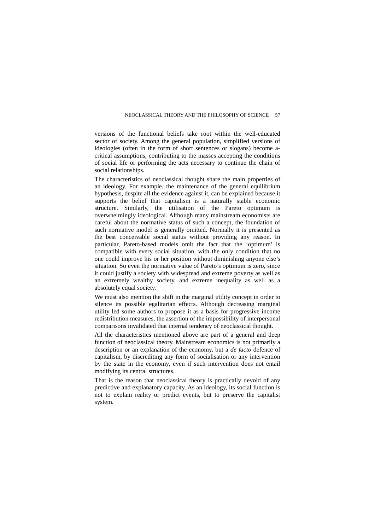versions of the functional beliefs take root within the well-educated sector of society. Among the general population, simplified versions of ideologies (often in the form of short sentences or slogans) become acritical assumptions, contributing to the masses accepting the conditions of social life or performing the acts necessary to continue the chain of social relationships.

The characteristics of neoclassical thought share the main properties of an ideology. For example, the maintenance of the general equilibrium hypothesis, despite all the evidence against it, can be explained because it supports the belief that capitalism is a naturally stable economic structure. Similarly, the utilisation of the Pareto optimum is overwhelmingly ideological. Although many mainstream economists are careful about the normative status of such a concept, the foundation of such normative model is generally omitted. Normally it is presented as the best conceivable social status without providing any reason. In particular, Pareto-based models omit the fact that the 'optimum' is compatible with every social situation, with the only condition that no one could improve his or her position without diminishing anyone else's situation. So even the normative value of Pareto's optimum is zero, since it could justify a society with widespread and extreme poverty as well as an extremely wealthy society, and extreme inequality as well as a absolutely equal society.

We must also mention the shift in the marginal utility concept in order to silence its possible egalitarian effects. Although decreasing marginal utility led some authors to propose it as a basis for progressive income redistribution measures, the assertion of the impossibility of interpersonal comparisons invalidated that internal tendency of neoclassical thought.

All the characteristics mentioned above are part of a general and deep function of neoclassical theory. Mainstream economics is not primarily a description or an explanation of the economy, but a *de facto* defence of capitalism, by discrediting any form of socialisation or any intervention by the state in the economy, even if such intervention does not entail modifying its central structures.

That is the reason that neoclassical theory is practically devoid of any predictive and explanatory capacity. As an ideology, its social function is not to explain reality or predict events, but to preserve the capitalist system.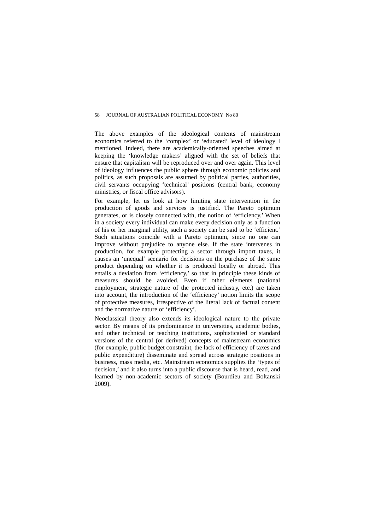The above examples of the ideological contents of mainstream economics referred to the 'complex' or 'educated' level of ideology I mentioned. Indeed, there are academically-oriented speeches aimed at keeping the 'knowledge makers' aligned with the set of beliefs that ensure that capitalism will be reproduced over and over again. This level of ideology influences the public sphere through economic policies and politics, as such proposals are assumed by political parties, authorities, civil servants occupying 'technical' positions (central bank, economy ministries, or fiscal office advisors).

For example, let us look at how limiting state intervention in the production of goods and services is justified. The Pareto optimum generates, or is closely connected with, the notion of 'efficiency.' When in a society every individual can make every decision only as a function of his or her marginal utility, such a society can be said to be 'efficient.' Such situations coincide with a Pareto optimum, since no one can improve without prejudice to anyone else. If the state intervenes in production, for example protecting a sector through import taxes, it causes an 'unequal' scenario for decisions on the purchase of the same product depending on whether it is produced locally or abroad. This entails a deviation from 'efficiency,' so that in principle these kinds of measures should be avoided. Even if other elements (national employment, strategic nature of the protected industry, etc.) are taken into account, the introduction of the 'efficiency' notion limits the scope of protective measures, irrespective of the literal lack of factual content and the normative nature of 'efficiency'.

Neoclassical theory also extends its ideological nature to the private sector. By means of its predominance in universities, academic bodies, and other technical or teaching institutions, sophisticated or standard versions of the central (or derived) concepts of mainstream economics (for example, public budget constraint, the lack of efficiency of taxes and public expenditure) disseminate and spread across strategic positions in business, mass media, etc. Mainstream economics supplies the 'types of decision,' and it also turns into a public discourse that is heard, read, and learned by non-academic sectors of society (Bourdieu and Boltanski 2009).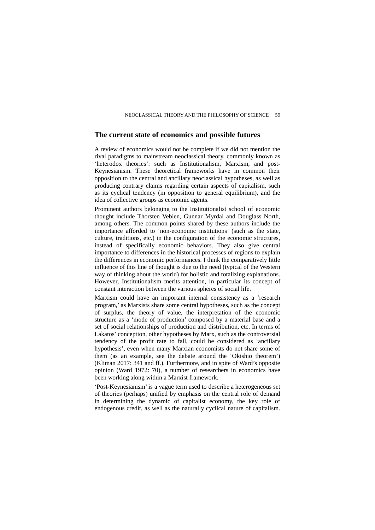## **The current state of economics and possible futures**

A review of economics would not be complete if we did not mention the rival paradigms to mainstream neoclassical theory, commonly known as 'heterodox theories': such as Institutionalism, Marxism, and post-Keynesianism. These theoretical frameworks have in common their opposition to the central and ancillary neoclassical hypotheses, as well as producing contrary claims regarding certain aspects of capitalism, such as its cyclical tendency (in opposition to general equilibrium), and the idea of collective groups as economic agents.

Prominent authors belonging to the Institutionalist school of economic thought include Thorsten Veblen, Gunnar Myrdal and Douglass North, among others. The common points shared by these authors include the importance afforded to 'non-economic institutions' (such as the state, culture, traditions, etc.) in the configuration of the economic structures, instead of specifically economic behaviors. They also give central importance to differences in the historical processes of regions to explain the differences in economic performances. I think the comparatively little influence of this line of thought is due to the need (typical of the Western way of thinking about the world) for holistic and totalizing explanations. However, Institutionalism merits attention, in particular its concept of constant interaction between the various spheres of social life.

Marxism could have an important internal consistency as a 'research program,' as Marxists share some central hypotheses, such as the concept of surplus, the theory of value, the interpretation of the economic structure as a 'mode of production' composed by a material base and a set of social relationships of production and distribution, etc. In terms of Lakatos' conception, other hypotheses by Marx, such as the controversial tendency of the profit rate to fall, could be considered as 'ancillary hypothesis', even when many Marxian economists do not share some of them (as an example, see the debate around the 'Okishio theorem') (Kliman 2017: 341 and ff.). Furthermore, and in spite of Ward's opposite opinion (Ward 1972: 70), a number of researchers in economics have been working along within a Marxist framework.

'Post-Keynesianism' is a vague term used to describe a heterogeneous set of theories (perhaps) unified by emphasis on the central role of demand in determining the dynamic of capitalist economy, the key role of endogenous credit, as well as the naturally cyclical nature of capitalism.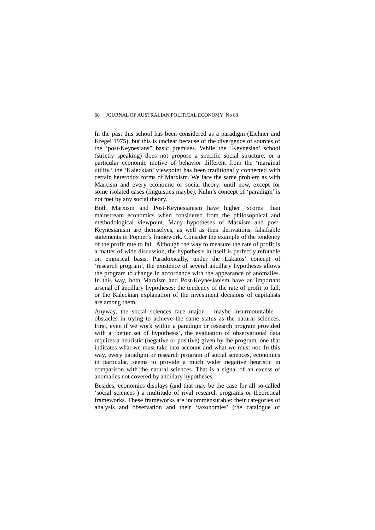In the past this school has been considered as a paradigm (Eichner and Kregel 1975), but this is unclear because of the divergence of sources of the 'post-Keynesians" basic premises. While the 'Keynesian' school (strictly speaking) does not propose a specific social structure, or a particular economic motive of behavior different from the 'marginal utility,' the 'Kaleckian' viewpoint has been traditionally connected with certain heterodox forms of Marxism. We face the same problem as with Marxism and every economic or social theory: until now, except for some isolated cases (linguistics maybe), Kuhn's concept of 'paradigm' is not met by any social theory.

Both Marxism and Post-Keynesianism have higher 'scores' than mainstream economics when considered from the philosophical and methodological viewpoint. Many hypotheses of Marxism and post-Keynesianism are themselves, as well as their derivations, falsifiable statements in Popper's framework. Consider the example of the tendency of the profit rate to fall. Although the way to measure the rate of profit is a matter of wide discussion, the hypothesis in itself is perfectly refutable on empirical basis. Paradoxically, under the Lakatos' concept of 'research program', the existence of several ancillary hypotheses allows the program to change in accordance with the appearance of anomalies. In this way, both Marxism and Post-Keynesianism have an important arsenal of ancillary hypotheses: the tendency of the rate of profit to fall, or the Kaleckian explanation of the investment decisions of capitalists are among them.

Anyway, the social sciences face major – maybe insurmountable – obstacles in trying to achieve the same status as the natural sciences. First, even if we work within a paradigm or research program provided with a 'better set of hypothesis', the evaluation of observational data requires a heuristic (negative or positive) given by the program, one that indicates what we must take into account and what we must not. In this way, every paradigm or research program of social sciences, economics in particular, seems to provide a much wider negative heuristic in comparison with the natural sciences. That is a signal of an excess of anomalies not covered by ancillary hypotheses.

Besides, economics displays (and that may be the case for all so-called 'social sciences') a multitude of rival research programs or theoretical frameworks. These frameworks are incommensurable: their categories of analysis and observation and their 'taxonomies' (the catalogue of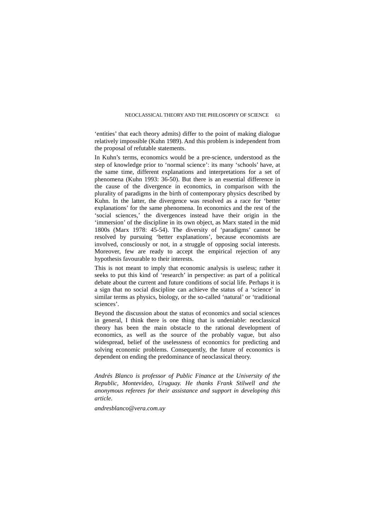'entities' that each theory admits) differ to the point of making dialogue relatively impossible (Kuhn 1989). And this problem is independent from the proposal of refutable statements.

In Kuhn's terms, economics would be a pre-science*,* understood as the step of knowledge prior to 'normal science': its many 'schools' have, at the same time, different explanations and interpretations for a set of phenomena (Kuhn 1993: 36-50). But there is an essential difference in the cause of the divergence in economics, in comparison with the plurality of paradigms in the birth of contemporary physics described by Kuhn. In the latter, the divergence was resolved as a race for 'better explanations' for the same phenomena. In economics and the rest of the 'social sciences,' the divergences instead have their origin in the 'immersion' of the discipline in its own object, as Marx stated in the mid 1800s (Marx 1978: 45-54). The diversity of 'paradigms' cannot be resolved by pursuing 'better explanations', because economists are involved, consciously or not, in a struggle of opposing social interests. Moreover, few are ready to accept the empirical rejection of any hypothesis favourable to their interests.

This is not meant to imply that economic analysis is useless; rather it seeks to put this kind of 'research' in perspective: as part of a political debate about the current and future conditions of social life. Perhaps it is a sign that no social discipline can achieve the status of a 'science' in similar terms as physics, biology, or the so-called 'natural' or 'traditional sciences'.

Beyond the discussion about the status of economics and social sciences in general, I think there is one thing that is undeniable: neoclassical theory has been the main obstacle to the rational development of economics, as well as the source of the probably vague, but also widespread, belief of the uselessness of economics for predicting and solving economic problems. Consequently, the future of economics is dependent on ending the predominance of neoclassical theory.

*Andrés Blanco is professor of Public Finance at the University of the Republic, Montevideo, Uruguay. He thanks Frank Stilwell and the anonymous referees for their assistance and support in developing this article.* 

*andresblanco@vera.com.uy*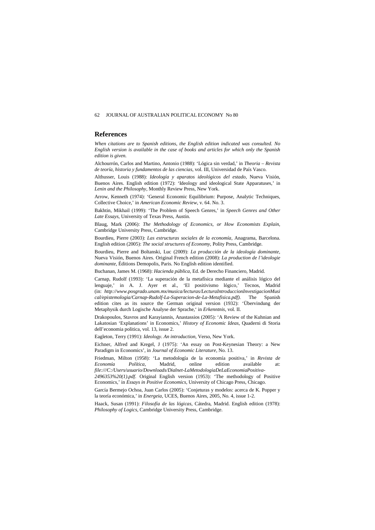#### **References**

*When citations are to Spanish editions, the English edition indicated was consulted. No English version is available in the case of books and articles for which only the Spanish edition is given.*

Alchourrón, Carlos and Martino, Antonio (1988): 'Lógica sin verdad,' in *Theoria – Revista de teoría, historia y fundamentos de las ciencias*, vol. III, Universidad de País Vasco.

Althusser, Louis (1988): *Ideología y aparatos ideológicos del estado,* Nueva Visión, Buenos Aires. English edition (1972): 'Ideology and ideological State Apparatuses,' in *Lenin and the Philosophy,* Monthly Review Press, New York.

Arrow, Kenneth (1974): 'General Economic Equilibrium: Purpose, Analytic Techniques, Collective Choice,' in *American Economic Review*, v. 64. No. 3.

Bakhtin, Mikhail (1999): 'The Problem of Speech Genres,' in *Speech Genres and Other Late Essays*, University of Texas Press, Austin.

Blaug, Mark (2006): *The Methodology of Economics, or How Economists Explain,*  Cambridge University Press, Cambridge.

Bourdieu, Pierre (2003): *Las estructuras sociales de la economía,* Anagrama, Barcelona. English edition (2005): *The social structures of Economy,* Polity Press, Cambridge.

Bourdieu, Pierre and Boltanski, Luc (2009): *La producción de la ideología dominante,*  Nueva Visión, Buenos Aires. Original French edition (2008): *La production de l'ideologie dominante,* Éditions Demopolis, Paris. No English edition identified.

Buchanan, James M. (1968): *Hacienda pública,* Ed. de Derecho Financiero, Madrid.

Carnap, Rudolf (1993): 'La superación de la metafísica mediante el análisis lógico del lenguaje,' in A. J. Ayer et al., 'El positivismo lógico,' Tecnos, Madrid (in: *[http://www.posgrado.unam.mx/musica/lecturas/LecturaIntroduccionInvestigacionMusi](http://www.posgrado.unam.mx/musica/lecturas/LecturaIntroduccionInvestigacionMusical/epistemologia/Carnap-Rudolf-La-Superacion-de-La-Metafisica.pdf) [cal/epistemologia/Carnap-Rudolf-La-Superacion-de-La-Metafisica.pdf\)](http://www.posgrado.unam.mx/musica/lecturas/LecturaIntroduccionInvestigacionMusical/epistemologia/Carnap-Rudolf-La-Superacion-de-La-Metafisica.pdf).* The Spanish edition cites as its source the German original version (1932): 'Übervindung der Metaphysik durch Logische Analyse der Sprache,' in *Erkenntnis,* vol. II.

Drakopoulos, Stavros and Karayiannis, Anastassios (2005): 'A Review of the Kuhnian and Lakatosian 'Explanations' in Economics,' *History of Economic Ideas*, Quaderni di Storia dell'economia politica, vol. 13, issue 2.

Eagleton, Terry (1991): *Ideology. An introduction,* Verso, New York.

Eichner, Alfred and Kregel, J (1975): 'An essay on Post-Keynesian Theory: a New Paradigm in Economics', in *Journal of Economic Literature,* No. 13.

Friedman, Milton (1958): 'La metodología de la economía positiva,' in *Revista de Economía Política,* Madrid, online edition available at: *file:///C:/Users/usuario/Downloads/Dialnet-LaMetodologiaDeLaEconomiaPositiva-*

*2496353%20(1).pdf*. Original English version (1953): 'The methodology of Positive Economics,' in *Essays in Positive Economics,* University of Chicago Press, Chicago.

García Bermejo Ochoa, Juan Carlos (2005): 'Conjeturas y modelos: acerca de K. Popper y la teoría económica,' in *Energeia,* UCES, Buenos Aires, 2005, No. 4, issue 1-2.

Haack, Susan (1991): *Filosofía de las lógicas,* Cátedra, Madrid. English edition (1978): *Philosophy of Logics,* Cambridge University Press, Cambridge.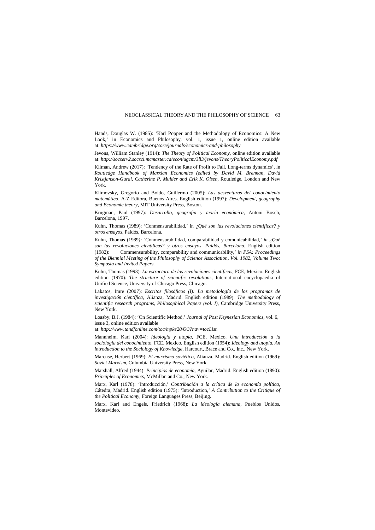Hands, Douglas W. (1985): 'Karl Popper and the Methodology of Economics: A New Look,' in Economics and Philosophy, vol. 1, issue 1, online edition available at: *<https://www.cambridge.org/core/journals/economics-and-philosophy>*

Jevons, William Stanley (1914): *The Theory of Political Economy,* online edition available at: *<http://socserv2.socsci.mcmaster.ca/econ/ugcm/3ll3/jevons/TheoryPoliticalEconomy.pdf>*

Kliman, Andrew (2017): 'Tendency of the Rate of Profit to Fall. Long-terms dynamics', in *Routledge Handbook of Marxian Economics (edited by David M. Brennan, David Kristjanson-Gural, Catherine P. Mulder and Erik K. Olsen,* Routledge, London and New York.

Klimovsky, Gregorio and Boido, Guillermo (2005): *Las desventuras del conocimiento matemático,* A-Z Editora, Buenos Aires. English edition (1997): *Development, geography and Economic theory,* MIT University Press, Boston.

Krugman, Paul (1997): *Desarrollo, geografía y teoría económica*, Antoni Bosch, Barcelona, 1997.

Kuhn, Thomas (1989): 'Conmensurabilidad,' in *¿Qué son las revoluciones científicas? y otros ensayos,* Paidós, Barcelona.

Kuhn, Thomas (1989*): '*Conmensurabilidad, comparabilidad y comunicabilidad,' *in ¿Qué*  son las revoluciones científicas? y otros ensayos, Paidós, Barcelona. English edition (1982): Commensurability, comparability and communicability,' *in PSA: Proceedings of the Biennial Meeting of the Philosophy of Science Association, Vol. 1982, Volume Two: Symposia and Invited Papers.*

Kuhn, Thomas (1993): *La estructura de las revoluciones científicas,* FCE, Mexico. English edition (1970): *The structure of scientific revolutions,* International encyclopaedia of Unified Science, University of Chicago Press, Chicago.

Lakatos, Imre (2007): *Escritos filosóficos (I): La metodología de los programas de investigación científica,* Alianza, Madrid. English edition (1989): *The methodology of scientific research programs, Philosophical Papers (vol. I),* Cambridge University Press, New York.

Loasby, B.J. (1984): 'On Scientific Method,' *Journal of Post Keynesian Economics,* vol. 6, issue 3, online edition available

at: *[http://www.tandfonline.com/toc/mpke20/6/3?nav=tocList.](http://www.tandfonline.com/toc/mpke20/6/3?nav=tocList)* 

Mannheim, Karl (2004): *Ideología y utopía,* FCE, Mexico. *Una introducción a la sociología del conocimiento,* FCE, Mexico. English edition (1954): *Ideology and utopia. An introduction to the Sociology of Knowledge,* Harcourt, Brace and Co., Inc., New York.

Marcuse, Herbert (1969): *El marxismo soviético,* Alianza, Madrid. English edition (1969): *Soviet Marxism,* Columbia University Press, New York.

Marshall, Alfred (1944): *Principios de economía,* Aguilar, Madrid. English edition (1890): *Principles of Economics,* McMillan and Co., New York.

Marx, Karl (1978): 'Introducción,' *Contribución a la crítica de la economía política,*  Cátedra, Madrid. English edition (1975): 'Introduction,' *A Contribution to the Critique of the Political Economy,* Foreign Languages Press, Beijing.

Marx, Karl and Engels, Friedrich (1968): *La ideología alemana,* Pueblos Unidos, Montevideo.